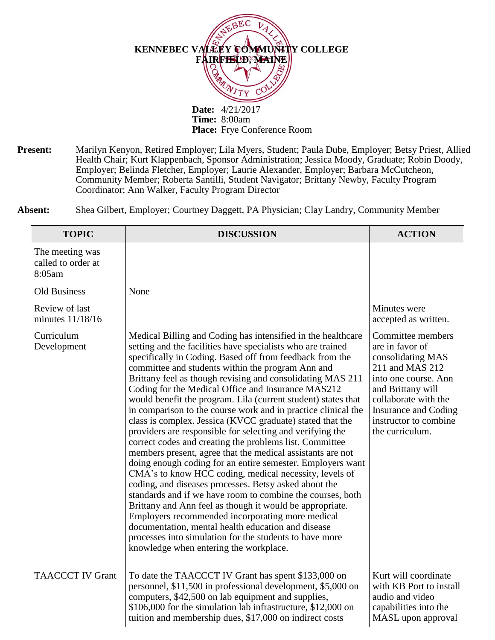

**Present:** Marilyn Kenyon, Retired Employer; Lila Myers, Student; Paula Dube, Employer; Betsy Priest, Allied Health Chair; Kurt Klappenbach, Sponsor Administration; Jessica Moody, Graduate; Robin Doody, Employer; Belinda Fletcher, Employer; Laurie Alexander, Employer; Barbara McCutcheon, Community Member; Roberta Santilli, Student Navigator; Brittany Newby, Faculty Program Coordinator; Ann Walker, Faculty Program Director

| Shea Gilbert, Employer; Courtney Daggett, PA Physician; Clay Landry, Community Member |
|---------------------------------------------------------------------------------------|
|                                                                                       |

| <b>TOPIC</b>                                    | <b>DISCUSSION</b>                                                                                                                                                                                                                                                                                                                                                                                                                                                                                                                                                                                                                                                                                                                                                                                                                                                                                                                                                                                                                                                                                                                                                                                                                                                               | <b>ACTION</b>                                                                                                                                                                                                                |
|-------------------------------------------------|---------------------------------------------------------------------------------------------------------------------------------------------------------------------------------------------------------------------------------------------------------------------------------------------------------------------------------------------------------------------------------------------------------------------------------------------------------------------------------------------------------------------------------------------------------------------------------------------------------------------------------------------------------------------------------------------------------------------------------------------------------------------------------------------------------------------------------------------------------------------------------------------------------------------------------------------------------------------------------------------------------------------------------------------------------------------------------------------------------------------------------------------------------------------------------------------------------------------------------------------------------------------------------|------------------------------------------------------------------------------------------------------------------------------------------------------------------------------------------------------------------------------|
| The meeting was<br>called to order at<br>8:05am |                                                                                                                                                                                                                                                                                                                                                                                                                                                                                                                                                                                                                                                                                                                                                                                                                                                                                                                                                                                                                                                                                                                                                                                                                                                                                 |                                                                                                                                                                                                                              |
| <b>Old Business</b>                             | None                                                                                                                                                                                                                                                                                                                                                                                                                                                                                                                                                                                                                                                                                                                                                                                                                                                                                                                                                                                                                                                                                                                                                                                                                                                                            |                                                                                                                                                                                                                              |
| Review of last<br>minutes 11/18/16              |                                                                                                                                                                                                                                                                                                                                                                                                                                                                                                                                                                                                                                                                                                                                                                                                                                                                                                                                                                                                                                                                                                                                                                                                                                                                                 | Minutes were<br>accepted as written.                                                                                                                                                                                         |
| Curriculum<br>Development                       | Medical Billing and Coding has intensified in the healthcare<br>setting and the facilities have specialists who are trained<br>specifically in Coding. Based off from feedback from the<br>committee and students within the program Ann and<br>Brittany feel as though revising and consolidating MAS 211<br>Coding for the Medical Office and Insurance MAS212<br>would benefit the program. Lila (current student) states that<br>in comparison to the course work and in practice clinical the<br>class is complex. Jessica (KVCC graduate) stated that the<br>providers are responsible for selecting and verifying the<br>correct codes and creating the problems list. Committee<br>members present, agree that the medical assistants are not<br>doing enough coding for an entire semester. Employers want<br>CMA's to know HCC coding, medical necessity, levels of<br>coding, and diseases processes. Betsy asked about the<br>standards and if we have room to combine the courses, both<br>Brittany and Ann feel as though it would be appropriate.<br>Employers recommended incorporating more medical<br>documentation, mental health education and disease<br>processes into simulation for the students to have more<br>knowledge when entering the workplace. | Committee members<br>are in favor of<br>consolidating MAS<br>211 and MAS 212<br>into one course. Ann<br>and Brittany will<br>collaborate with the<br><b>Insurance and Coding</b><br>instructor to combine<br>the curriculum. |
| <b>TAACCCT IV Grant</b>                         | To date the TAACCCT IV Grant has spent \$133,000 on<br>personnel, \$11,500 in professional development, \$5,000 on<br>computers, \$42,500 on lab equipment and supplies,<br>\$106,000 for the simulation lab infrastructure, \$12,000 on<br>tuition and membership dues, \$17,000 on indirect costs                                                                                                                                                                                                                                                                                                                                                                                                                                                                                                                                                                                                                                                                                                                                                                                                                                                                                                                                                                             | Kurt will coordinate<br>with KB Port to install<br>audio and video<br>capabilities into the<br>MASL upon approval                                                                                                            |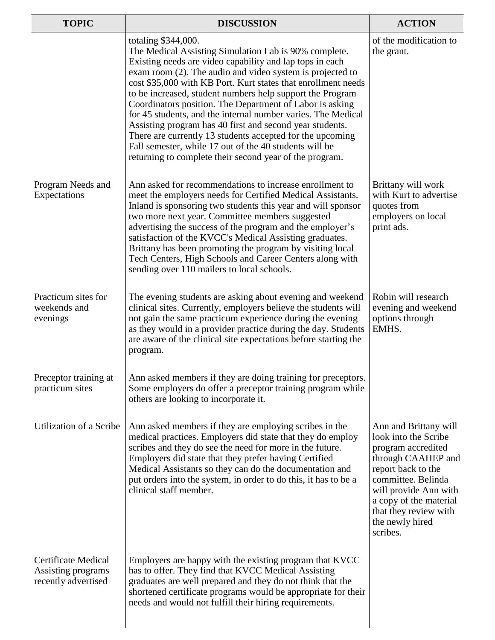| <b>TOPIC</b>                                                            | <b>DISCUSSION</b>                                                                                                                                                                                                                                                                                                                                                                                                                                                                                                                                                                                                                                                                                             | <b>ACTION</b>                                                                                                                                                                                                                                    |
|-------------------------------------------------------------------------|---------------------------------------------------------------------------------------------------------------------------------------------------------------------------------------------------------------------------------------------------------------------------------------------------------------------------------------------------------------------------------------------------------------------------------------------------------------------------------------------------------------------------------------------------------------------------------------------------------------------------------------------------------------------------------------------------------------|--------------------------------------------------------------------------------------------------------------------------------------------------------------------------------------------------------------------------------------------------|
|                                                                         | totaling \$344,000.<br>The Medical Assisting Simulation Lab is 90% complete.<br>Existing needs are video capability and lap tops in each<br>exam room (2). The audio and video system is projected to<br>cost \$35,000 with KB Port. Kurt states that enrollment needs<br>to be increased, student numbers help support the Program<br>Coordinators position. The Department of Labor is asking<br>for 45 students, and the internal number varies. The Medical<br>Assisting program has 40 first and second year students.<br>There are currently 13 students accepted for the upcoming<br>Fall semester, while 17 out of the 40 students will be<br>returning to complete their second year of the program. | of the modification to<br>the grant.                                                                                                                                                                                                             |
| Program Needs and<br>Expectations                                       | Ann asked for recommendations to increase enrollment to<br>meet the employers needs for Certified Medical Assistants.<br>Inland is sponsoring two students this year and will sponsor<br>two more next year. Committee members suggested<br>advertising the success of the program and the employer's<br>satisfaction of the KVCC's Medical Assisting graduates.<br>Brittany has been promoting the program by visiting local<br>Tech Centers, High Schools and Career Centers along with<br>sending over 110 mailers to local schools.                                                                                                                                                                       | Brittany will work<br>with Kurt to advertise<br>quotes from<br>employers on local<br>print ads.                                                                                                                                                  |
| Practicum sites for<br>weekends and<br>evenings                         | The evening students are asking about evening and weekend<br>clinical sites. Currently, employers believe the students will<br>not gain the same practicum experience during the evening<br>as they would in a provider practice during the day. Students<br>are aware of the clinical site expectations before starting the<br>program.                                                                                                                                                                                                                                                                                                                                                                      | Robin will research<br>evening and weekend<br>options through<br>EMHS.                                                                                                                                                                           |
| Preceptor training at<br>practicum sites                                | Ann asked members if they are doing training for preceptors.<br>Some employers do offer a preceptor training program while<br>others are looking to incorporate it.                                                                                                                                                                                                                                                                                                                                                                                                                                                                                                                                           |                                                                                                                                                                                                                                                  |
| Utilization of a Scribe                                                 | Ann asked members if they are employing scribes in the<br>medical practices. Employers did state that they do employ<br>scribes and they do see the need for more in the future.<br>Employers did state that they prefer having Certified<br>Medical Assistants so they can do the documentation and<br>put orders into the system, in order to do this, it has to be a<br>clinical staff member.                                                                                                                                                                                                                                                                                                             | Ann and Brittany will<br>look into the Scribe<br>program accredited<br>through CAAHEP and<br>report back to the<br>committee. Belinda<br>will provide Ann with<br>a copy of the material<br>that they review with<br>the newly hired<br>scribes. |
| <b>Certificate Medical</b><br>Assisting programs<br>recently advertised | Employers are happy with the existing program that KVCC<br>has to offer. They find that KVCC Medical Assisting<br>graduates are well prepared and they do not think that the<br>shortened certificate programs would be appropriate for their<br>needs and would not fulfill their hiring requirements.                                                                                                                                                                                                                                                                                                                                                                                                       |                                                                                                                                                                                                                                                  |